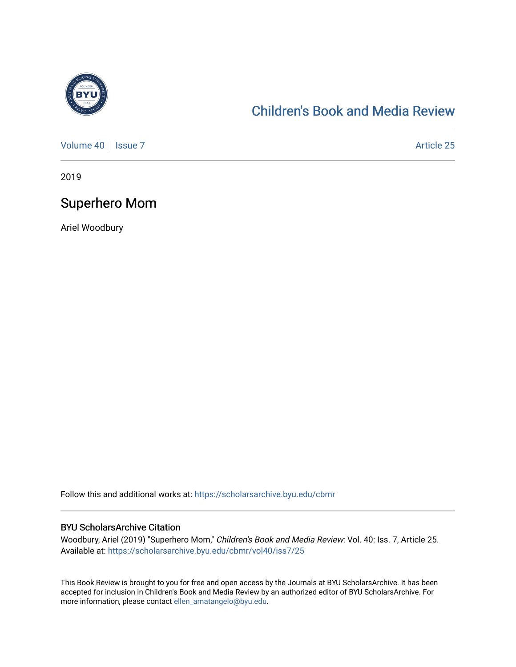

### [Children's Book and Media Review](https://scholarsarchive.byu.edu/cbmr)

[Volume 40](https://scholarsarchive.byu.edu/cbmr/vol40) | [Issue 7](https://scholarsarchive.byu.edu/cbmr/vol40/iss7) Article 25

2019

#### Superhero Mom

Ariel Woodbury

Follow this and additional works at: [https://scholarsarchive.byu.edu/cbmr](https://scholarsarchive.byu.edu/cbmr?utm_source=scholarsarchive.byu.edu%2Fcbmr%2Fvol40%2Fiss7%2F25&utm_medium=PDF&utm_campaign=PDFCoverPages) 

#### BYU ScholarsArchive Citation

Woodbury, Ariel (2019) "Superhero Mom," Children's Book and Media Review: Vol. 40: Iss. 7, Article 25. Available at: [https://scholarsarchive.byu.edu/cbmr/vol40/iss7/25](https://scholarsarchive.byu.edu/cbmr/vol40/iss7/25?utm_source=scholarsarchive.byu.edu%2Fcbmr%2Fvol40%2Fiss7%2F25&utm_medium=PDF&utm_campaign=PDFCoverPages)

This Book Review is brought to you for free and open access by the Journals at BYU ScholarsArchive. It has been accepted for inclusion in Children's Book and Media Review by an authorized editor of BYU ScholarsArchive. For more information, please contact [ellen\\_amatangelo@byu.edu.](mailto:ellen_amatangelo@byu.edu)